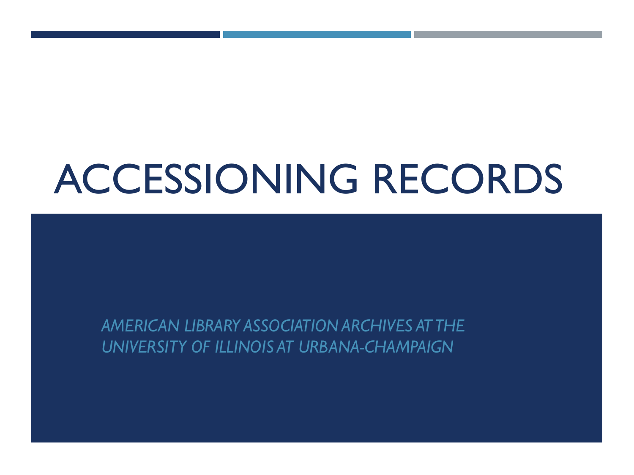# ACCESSIONING RECORDS

*AMERICAN LIBRARY ASSOCIATION ARCHIVES AT THE UNIVERSITY OF ILLINOIS AT URBANA-CHAMPAIGN*

TO THE ALA ARCHIVES OF THE ALA ARCHIVES OF THE ALA ARCHIVES OF THE ALA ARCHIVES OF THE ALA ARCHIVES OF THE ALA<br>ARCHIVES OF THE ALA ARCHIVES OF THE ALA ARCHIVES OF THE ALA ARCHIVES OF THE ALA ARCHIVES OF THE ALA ARCHIVES O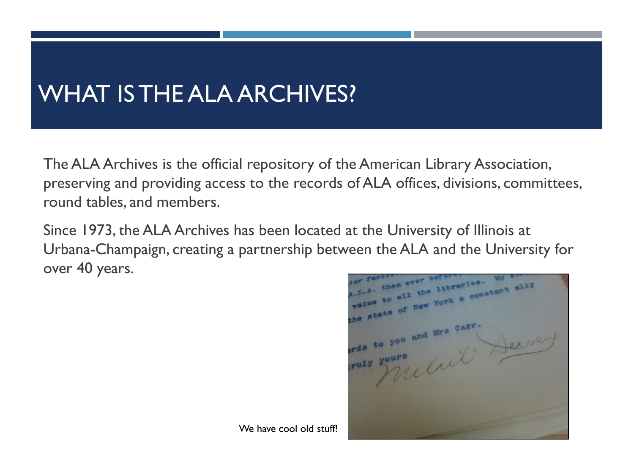## WHAT IS THE ALA ARCHIVES?

The ALA Archives is the official repository of the American Library Association, preserving and providing access to the records of ALA offices, divisions, committees, round tables, and members.

Since 1973, the ALA Archives has been located at the University of Illinois at Urbana-Champaign, creating a partnership between the ALA and the University for over 40 years.

han ever bef all the libraries. I the libraries. My ally<br>I the libraries. My ards to you and Mrs Carr you and Mrs Case. Derve rds tours

We have cool old stuff!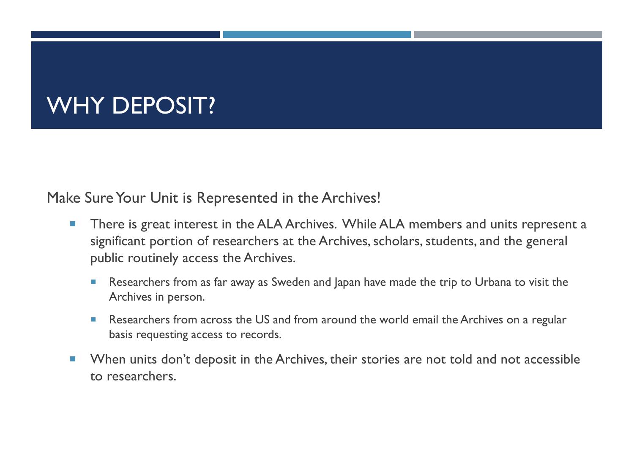### WHY DEPOSIT?

Make Sure Your Unit is Represented in the Archives!

- **There is great interest in the ALA Archives. While ALA members and units represent a** significant portion of researchers at the Archives, scholars, students, and the general public routinely access the Archives.
	- Researchers from as far away as Sweden and Japan have made the trip to Urbana to visit the Archives in person.
	- Researchers from across the US and from around the world email the Archives on a regular basis requesting access to records.
- **Number 1** When units don't deposit in the Archives, their stories are not told and not accessible to researchers.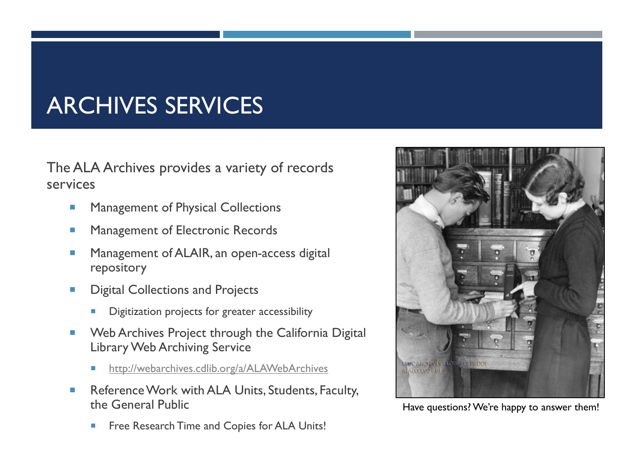### ARCHIVES SERVICES

The ALA Archives provides a variety of records services

- **Management of Physical Collections**
- **Management of Electronic Records**
- **Management of ALAIR, an open-access digital** repository
- **Digital Collections and Projects** 
	- Digitization projects for greater accessibility
- **Web Archives Project through the California Digital** Library Web Archiving Service
	- <http://webarchives.cdlib.org/a/ALAWebArchives>
- Reference Work with ALA Units, Students, Faculty, the General Public
	- Free Research Time and Copies for ALA Units!



Have questions? We're happy to answer them!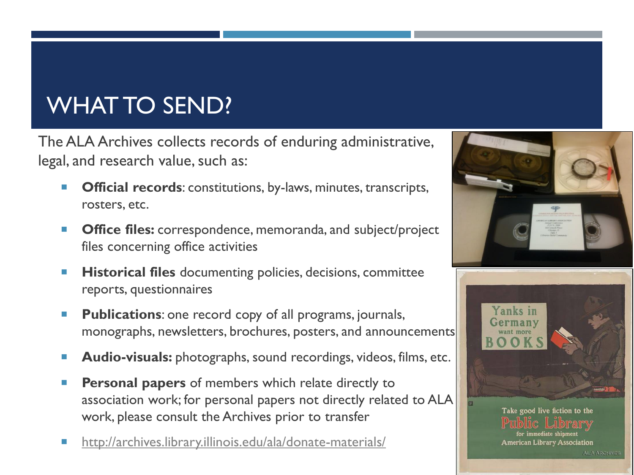## WHAT TO SEND?

The ALA Archives collects records of enduring administrative, legal, and research value, such as:

- **Official records:** constitutions, by-laws, minutes, transcripts, rosters, etc.
- **Office files:** correspondence, memoranda, and subject/project files concerning office activities
- **Historical files** documenting policies, decisions, committee reports, questionnaires
- **Publications**: one record copy of all programs, journals, monographs, newsletters, brochures, posters, and announcements
- **Audio-visuals:** photographs, sound recordings, videos, films, etc.
- **Personal papers** of members which relate directly to association work; for personal papers not directly related to ALA work, please consult the Archives prior to transfer
- <http://archives.library.illinois.edu/ala/donate-materials/>

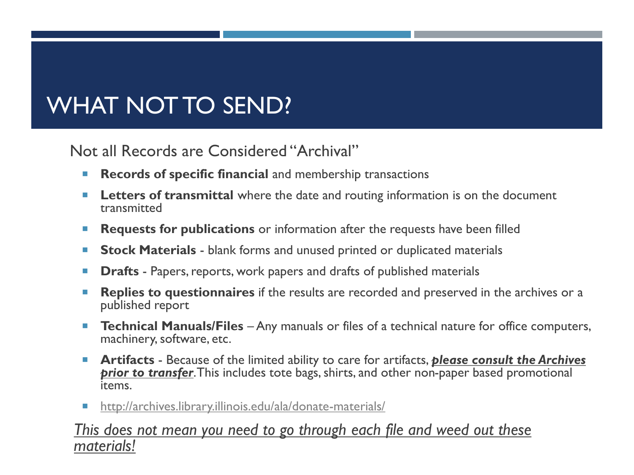## WHAT NOT TO SEND?

Not all Records are Considered "Archival"

- **Records of specific financial** and membership transactions
- **Letters of transmittal** where the date and routing information is on the document transmitted
- **Requests for publications** or information after the requests have been filled
- **Stock Materials** blank forms and unused printed or duplicated materials
- **Drafts** Papers, reports, work papers and drafts of published materials
- **Replies to questionnaires** if the results are recorded and preserved in the archives or a published report
- **Technical Manuals/Files** Any manuals or files of a technical nature for office computers, machinery, software, etc.
- **Artifacts** Because of the limited ability to care for artifacts, *please consult the Archives*  **prior to transfer**. This includes tote bags, shirts, and other non-paper based promotional items.
- <http://archives.library.illinois.edu/ala/donate-materials/>

### *This does not mean you need to go through each file and weed out these materials!*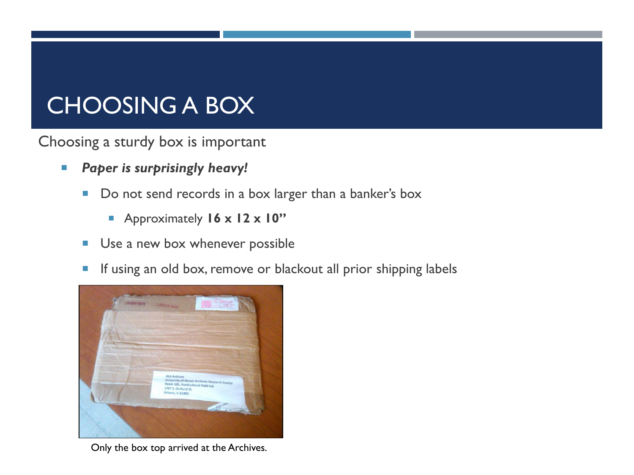### CHOOSING A BOX

Choosing a sturdy box is important

- *Paper is surprisingly heavy!* 
	- Do not send records in a box larger than a banker's box
		- Approximately **16 x 12 x 10"**
	- Use a new box whenever possible
	- **If using an old box, remove or blackout all prior shipping labels**



Only the box top arrived at the Archives.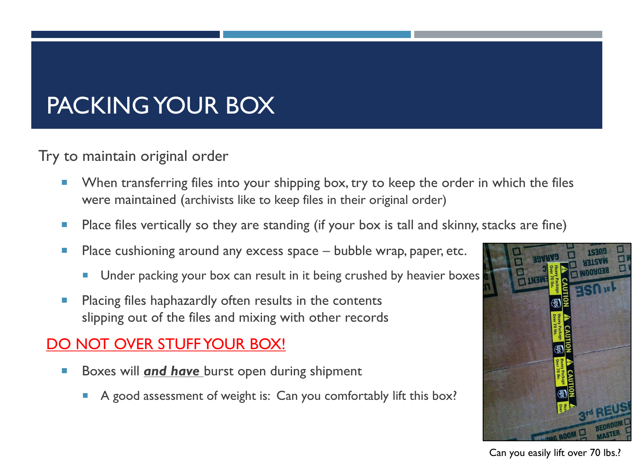## PACKING YOUR BOX

Try to maintain original order

- **Notally 1.5 To Know Theody Theody Theody To Steep The Steep the Order in which the files n** were maintained (archivists like to keep files in their original order)
- **Place files vertically so they are standing (if your box is tall and skinny, stacks are fine)**
- **Place cushioning around any excess space bubble wrap, paper, etc.** 
	- Under packing your box can result in it being crushed by heavier boxes
- **Placing files haphazardly often results in the contents** slipping out of the files and mixing with other records

### DO NOT OVER STUFF YOUR BOX!

- **Boxes will** *and have* burst open during shipment
	- A good assessment of weight is: Can you comfortably lift this box?



Can you easily lift over 70 lbs.?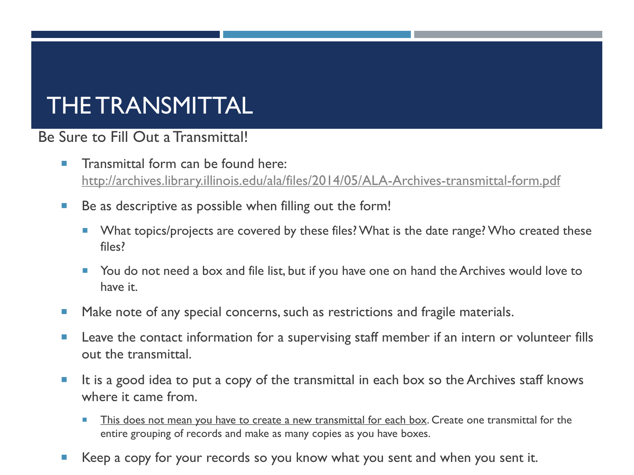### THE TRANSMITTAL

### Be Sure to Fill Out a Transmittal!

- $\blacksquare$  Transmittal form can be found here: <http://archives.library.illinois.edu/ala/files/2014/05/ALA-Archives-transmittal-form.pdf>
- Be as descriptive as possible when filling out the form!
	- **Numer 1** What topics/projects are covered by these files? What is the date range? Who created these files?
	- **The Step 1** You do not need a box and file list, but if you have one on hand the Archives would love to have it.
- **Make note of any special concerns, such as restrictions and fragile materials.**
- **Leave the contact information for a supervising staff member if an intern or volunteer fills** out the transmittal.
- $\blacksquare$  It is a good idea to put a copy of the transmittal in each box so the Archives staff knows where it came from.
	- This does not mean you have to create a new transmittal for each box. Create one transmittal for the entire grouping of records and make as many copies as you have boxes.
- Keep a copy for your records so you know what you sent and when you sent it.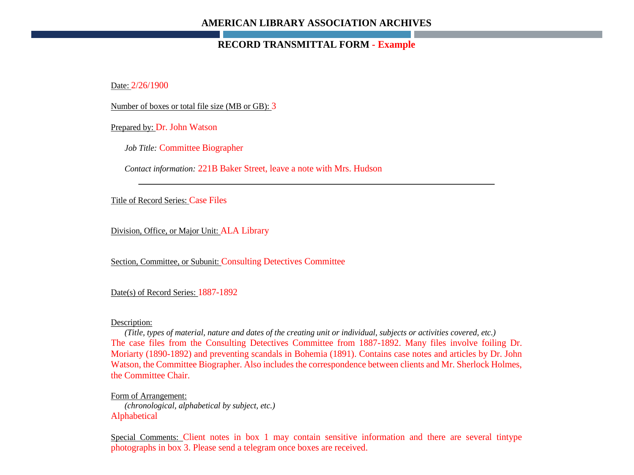#### **AMERICAN LIBRARY ASSOCIATION ARCHIVES**

#### **RECORD TRANSMITTAL FORM - Example**

Date: 2/26/1900

Number of boxes or total file size (MB or GB): 3

Prepared by: Dr. John Watson

*Job Title:* Committee Biographer

*Contact information:* 221B Baker Street, leave a note with Mrs. Hudson

Title of Record Series: Case Files

Division, Office, or Major Unit: ALA Library

Section, Committee, or Subunit: Consulting Detectives Committee

#### Date(s) of Record Series: 1887-1892

#### Description:

*(Title, types of material, nature and dates of the creating unit or individual, subjects or activities covered, etc.)* The case files from the Consulting Detectives Committee from 1887-1892. Many files involve foiling Dr. Moriarty (1890-1892) and preventing scandals in Bohemia (1891). Contains case notes and articles by Dr. John Watson, the Committee Biographer. Also includes the correspondence between clients and Mr. Sherlock Holmes, the Committee Chair.

Form of Arrangement: *(chronological, alphabetical by subject, etc.)*  Alphabetical

Special Comments: Client notes in box 1 may contain sensitive information and there are several tintype photographs in box 3. Please send a telegram once boxes are received.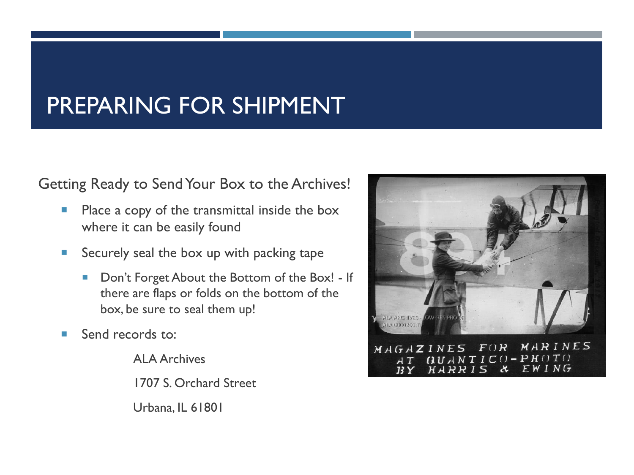### PREPARING FOR SHIPMENT

Getting Ready to Send Your Box to the Archives!

- **Place a copy of the transmittal inside the box** where it can be easily found
- Securely seal the box up with packing tape
	- Don't Forget About the Bottom of the Box! If there are flaps or folds on the bottom of the box, be sure to seal them up!
- Send records to:

ALA Archives 1707 S. Orchard Street Urbana, IL 61801

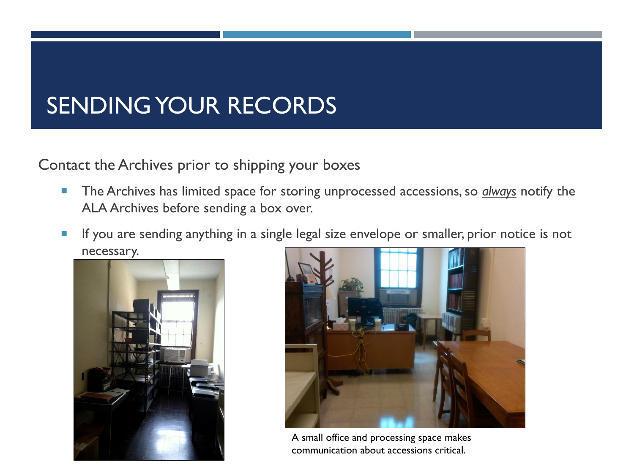### SENDING YOUR RECORDS

Contact the Archives prior to shipping your boxes

- **The Archives has limited space for storing unprocessed accessions, so** *always* **notify the** ALA Archives before sending a box over.
- **If you are sending anything in a single legal size envelope or smaller, prior notice is not** necessary.





A small office and processing space makes communication about accessions critical.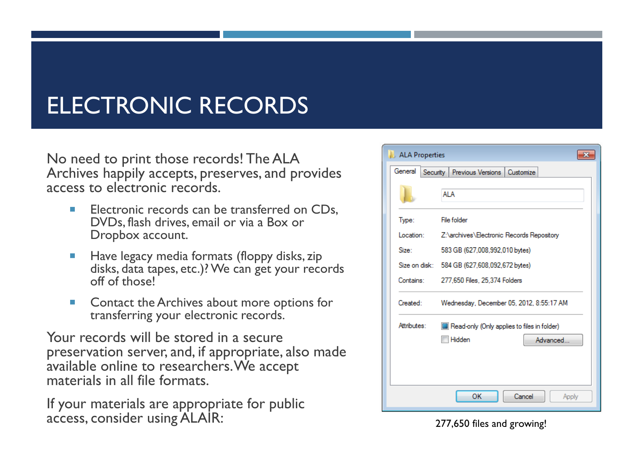## ELECTRONIC RECORDS

No need to print those records! The ALA Archives happily accepts, preserves, and provides access to electronic records.

- $\blacksquare$  Electronic records can be transferred on CDs. DVDs, flash drives, email or via a Box or Dropbox account.
- **Have legacy media formats (floppy disks, zip** disks, data tapes, etc.)? We can get your records off of those!
- Contact the Archives about more options for transferring your electronic records.

Your records will be stored in a secure preservation server, and, if appropriate, also made available online to researchers. We accept materials in all file formats.

If your materials are appropriate for public access, consider using ALAIR: 277,650 files and growing!

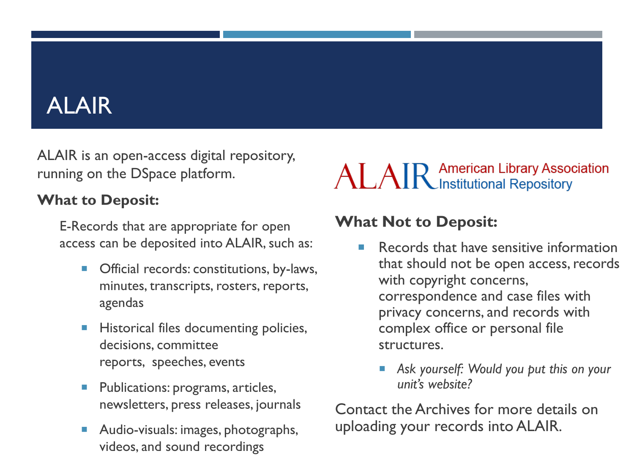## ALAIR

ALAIR is an open-access digital repository, running on the DSpace platform.

### **What to Deposit:**

E-Records that are appropriate for open access can be deposited into ALAIR, such as:

- Official records: constitutions, by-laws, minutes, transcripts, rosters, reports, agendas
- **Historical files documenting policies,** decisions, committee reports, speeches, events
- Publications: programs, articles, newsletters, press releases, journals
- Audio-visuals: images, photographs, videos, and sound recordings

# ALAIR American Library Association

### **What Not to Deposit:**

- Records that have sensitive information that should not be open access, records with copyright concerns, correspondence and case files with privacy concerns, and records with complex office or personal file structures.
	- *Ask yourself: Would you put this on your unit's website?*

Contact the Archives for more details on uploading your records into ALAIR.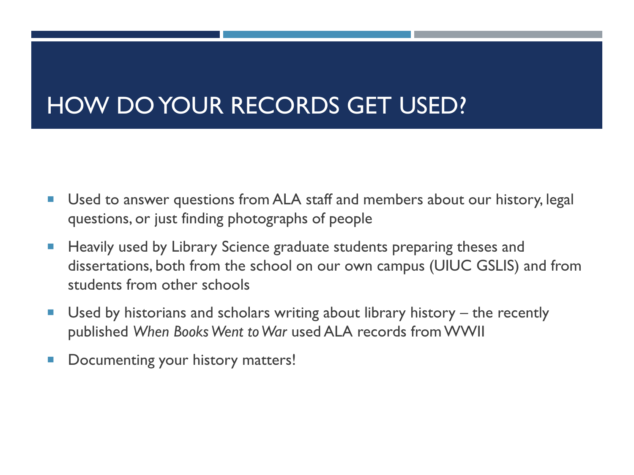### HOW DO YOUR RECORDS GET USED?

- Used to answer questions from ALA staff and members about our history, legal questions, or just finding photographs of people
- Heavily used by Library Science graduate students preparing theses and dissertations, both from the school on our own campus (UIUC GSLIS) and from students from other schools
- Used by historians and scholars writing about library history the recently published *When Books Went to War* used ALA records from WWII
- **Documenting your history matters!**